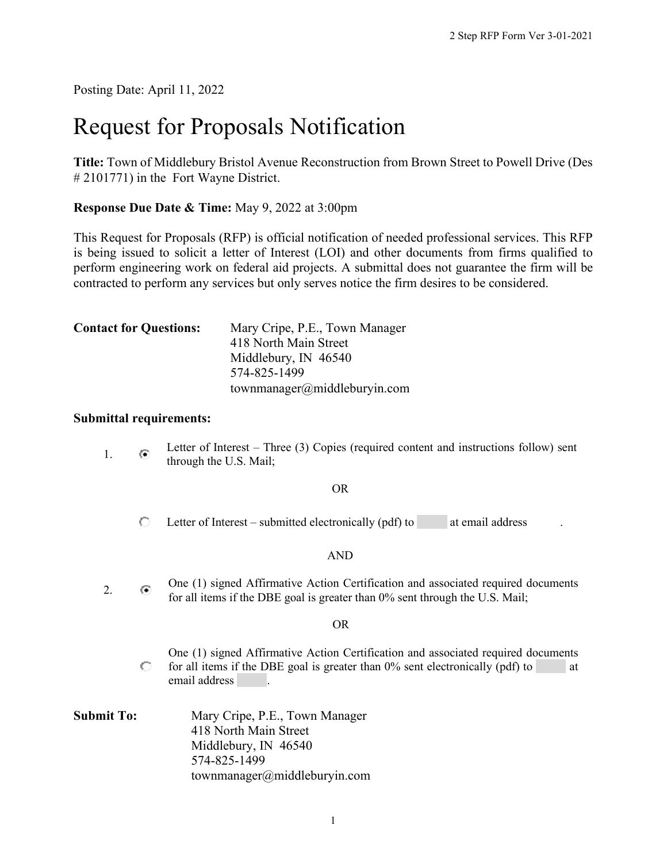Posting Date: April 11, 2022

# Request for Proposals Notification

**Title:** Town of Middlebury Bristol Avenue Reconstruction from Brown Street to Powell Drive (Des # 2101771) in the Fort Wayne District.

**Response Due Date & Time:** May 9, 2022 at 3:00pm

This Request for Proposals (RFP) is official notification of needed professional services. This RFP is being issued to solicit a letter of Interest (LOI) and other documents from firms qualified to perform engineering work on federal aid projects. A submittal does not guarantee the firm will be contracted to perform any services but only serves notice the firm desires to be considered.

| <b>Contact for Questions:</b> | Mary Cripe, P.E., Town Manager |  |  |
|-------------------------------|--------------------------------|--|--|
|                               | 418 North Main Street          |  |  |
|                               | Middlebury, IN 46540           |  |  |
|                               | 574-825-1499                   |  |  |
|                               | townmanager@middleburyin.com   |  |  |

#### **Submittal requirements:**

1. **I.** Letter of Interest – Three (3) Copies (required content and instructions follow) sent through the U.S. Mail; OR  $\circ$ Letter of Interest – submitted electronically  $(\text{pdf})$  to at email address AND 2. One (1) signed Affirmative Action Certification and associated required documents for all items if the DBE goal is greater than 0% sent through the U.S. Mail; OR One (1) signed Affirmative Action Certification and associated required documents 0. for all items if the DBE goal is greater than  $0\%$  sent electronically (pdf) to at email address . **Submit To:** Mary Cripe, P.E., Town Manager 418 North Main Street Middlebury, IN 46540 574-825-1499 townmanager@middleburyin.com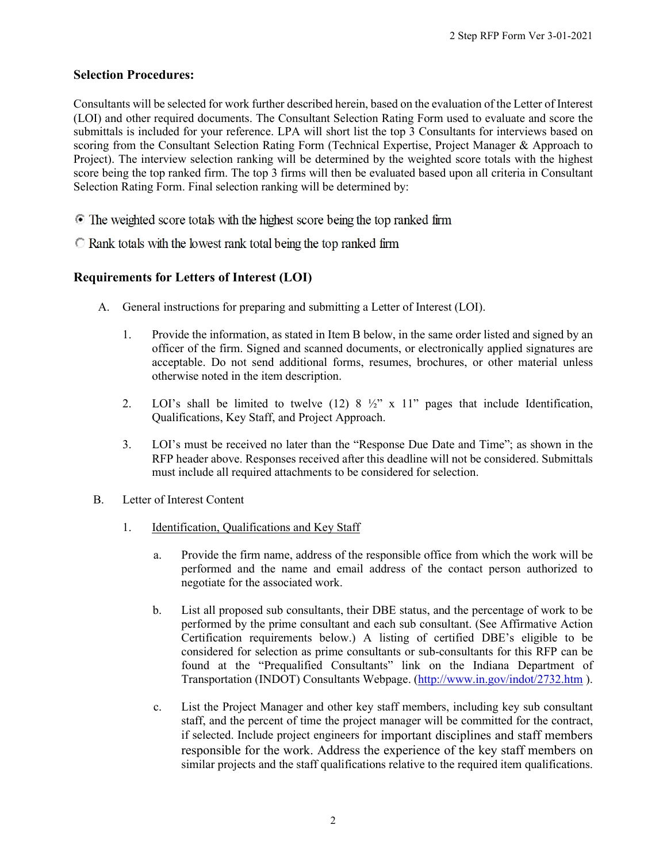# **Selection Procedures:**

Consultants will be selected for work further described herein, based on the evaluation of the Letter of Interest (LOI) and other required documents. The Consultant Selection Rating Form used to evaluate and score the submittals is included for your reference. LPA will short list the top 3 Consultants for interviews based on scoring from the Consultant Selection Rating Form (Technical Expertise, Project Manager & Approach to Project). The interview selection ranking will be determined by the weighted score totals with the highest score being the top ranked firm. The top 3 firms will then be evaluated based upon all criteria in Consultant Selection Rating Form. Final selection ranking will be determined by:

- ⊙ The weighted score totals with the highest score being the top ranked firm
- $\bullet$  Rank totals with the lowest rank total being the top ranked firm

# **Requirements for Letters of Interest (LOI)**

- A. General instructions for preparing and submitting a Letter of Interest (LOI).
	- 1. Provide the information, as stated in Item B below, in the same order listed and signed by an officer of the firm. Signed and scanned documents, or electronically applied signatures are acceptable. Do not send additional forms, resumes, brochures, or other material unless otherwise noted in the item description.
	- 2. LOI's shall be limited to twelve  $(12)$  8  $\frac{1}{2}$ " x 11" pages that include Identification, Qualifications, Key Staff, and Project Approach.
	- 3. LOI's must be received no later than the "Response Due Date and Time"; as shown in the RFP header above. Responses received after this deadline will not be considered. Submittals must include all required attachments to be considered for selection.
- B. Letter of Interest Content
	- 1. Identification, Qualifications and Key Staff
		- a. Provide the firm name, address of the responsible office from which the work will be performed and the name and email address of the contact person authorized to negotiate for the associated work.
		- b. List all proposed sub consultants, their DBE status, and the percentage of work to be performed by the prime consultant and each sub consultant. (See Affirmative Action Certification requirements below.) A listing of certified DBE's eligible to be considered for selection as prime consultants or sub-consultants for this RFP can be found at the "Prequalified Consultants" link on the Indiana Department of Transportation (INDOT) Consultants Webpage. [\(http://www.in.gov/indot/2732.htm](http://www.in.gov/indot/2732.htm) ).
		- c. List the Project Manager and other key staff members, including key sub consultant staff, and the percent of time the project manager will be committed for the contract, if selected. Include project engineers for important disciplines and staff members responsible for the work. Address the experience of the key staff members on similar projects and the staff qualifications relative to the required item qualifications.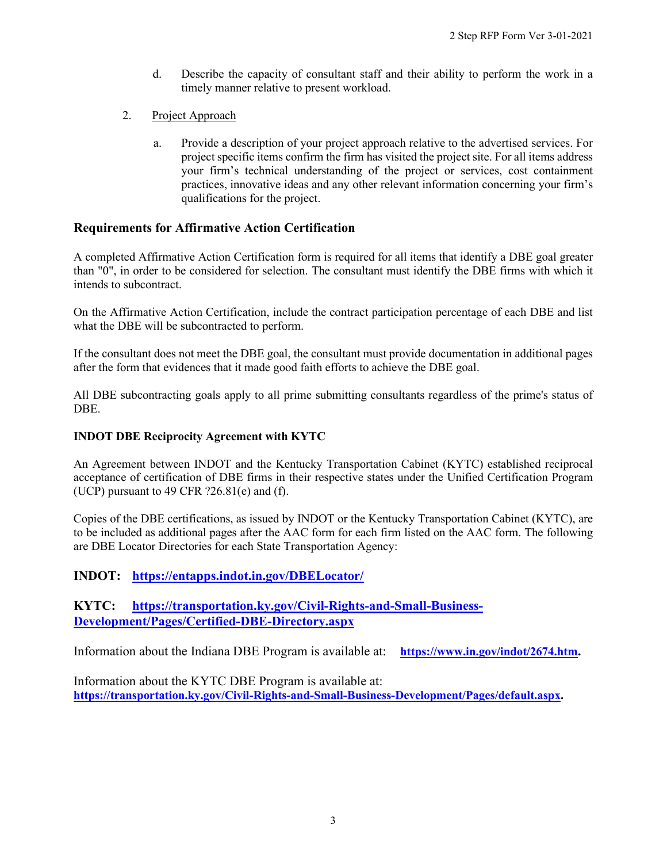- d. Describe the capacity of consultant staff and their ability to perform the work in a timely manner relative to present workload.
- 2. Project Approach
	- a. Provide a description of your project approach relative to the advertised services. For project specific items confirm the firm has visited the project site. For all items address your firm's technical understanding of the project or services, cost containment practices, innovative ideas and any other relevant information concerning your firm's qualifications for the project.

### **Requirements for Affirmative Action Certification**

A completed Affirmative Action Certification form is required for all items that identify a DBE goal greater than "0", in order to be considered for selection. The consultant must identify the DBE firms with which it intends to subcontract.

On the Affirmative Action Certification, include the contract participation percentage of each DBE and list what the DBE will be subcontracted to perform.

If the consultant does not meet the DBE goal, the consultant must provide documentation in additional pages after the form that evidences that it made good faith efforts to achieve the DBE goal.

All DBE subcontracting goals apply to all prime submitting consultants regardless of the prime's status of DBE.

#### **INDOT DBE Reciprocity Agreement with KYTC**

An Agreement between INDOT and the Kentucky Transportation Cabinet (KYTC) established reciprocal acceptance of certification of DBE firms in their respective states under the Unified Certification Program (UCP) pursuant to 49 CFR  $?26.81(e)$  and (f).

Copies of the DBE certifications, as issued by INDOT or the Kentucky Transportation Cabinet (KYTC), are to be included as additional pages after the AAC form for each firm listed on the AAC form. The following are DBE Locator Directories for each State Transportation Agency:

### **INDOT: <https://entapps.indot.in.gov/DBELocator/>**

# **KYTC: [https://transportation.ky.gov/Civil-Rights-and-Small-Business-](https://transportation.ky.gov/Civil-Rights-and-Small-Business-Development/Pages/Certified-DBE-Directory.aspx)[Development/Pages/Certified-DBE-Directory.aspx](https://transportation.ky.gov/Civil-Rights-and-Small-Business-Development/Pages/Certified-DBE-Directory.aspx)**

Information about the Indiana DBE Program is available at: **[https://www.in.gov/indot/2674.htm.](https://www.in.gov/indot/2674.htm)**

Information about the KYTC DBE Program is available at: **[https://transportation.ky.gov/Civil-Rights-and-Small-Business-Development/Pages/default.aspx.](https://transportation.ky.gov/Civil-Rights-and-Small-Business-Development/Pages/default.aspx)**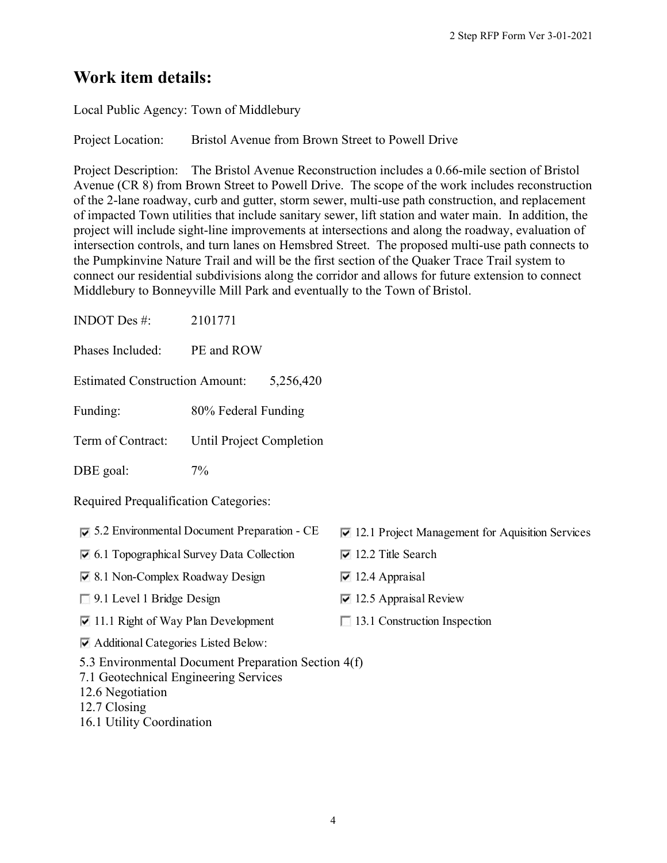# **Work item details:**

Local Public Agency: Town of Middlebury

Project Location: Bristol Avenue from Brown Street to Powell Drive

Project Description: The Bristol Avenue Reconstruction includes a 0.66-mile section of Bristol Avenue (CR 8) from Brown Street to Powell Drive. The scope of the work includes reconstruction of the 2-lane roadway, curb and gutter, storm sewer, multi-use path construction, and replacement of impacted Town utilities that include sanitary sewer, lift station and water main. In addition, the project will include sight-line improvements at intersections and along the roadway, evaluation of intersection controls, and turn lanes on Hemsbred Street. The proposed multi-use path connects to the Pumpkinvine Nature Trail and will be the first section of the Quaker Trace Trail system to connect our residential subdivisions along the corridor and allows for future extension to connect Middlebury to Bonneyville Mill Park and eventually to the Town of Bristol.

| <b>INDOT</b> Des #:                                                                                              | 2101771                                                    |                                                                 |  |  |
|------------------------------------------------------------------------------------------------------------------|------------------------------------------------------------|-----------------------------------------------------------------|--|--|
| Phases Included:                                                                                                 | PE and ROW                                                 |                                                                 |  |  |
| <b>Estimated Construction Amount:</b>                                                                            | 5,256,420                                                  |                                                                 |  |  |
| Funding:                                                                                                         | 80% Federal Funding                                        |                                                                 |  |  |
| Term of Contract:                                                                                                | Until Project Completion                                   |                                                                 |  |  |
| DBE goal:                                                                                                        | 7%                                                         |                                                                 |  |  |
| <b>Required Prequalification Categories:</b>                                                                     |                                                            |                                                                 |  |  |
|                                                                                                                  | $\overline{6}$ 5.2 Environmental Document Preparation - CE | $\triangledown$ 12.1 Project Management for Aquisition Services |  |  |
|                                                                                                                  | $\triangledown$ 6.1 Topographical Survey Data Collection   | $\overline{v}$ 12.2 Title Search                                |  |  |
| $\vee$ 8.1 Non-Complex Roadway Design                                                                            |                                                            | $\overline{\triangledown}$ 12.4 Appraisal                       |  |  |
| 9.1 Level 1 Bridge Design                                                                                        |                                                            | $\triangleright$ 12.5 Appraisal Review                          |  |  |
| $\triangleright$ 11.1 Right of Way Plan Development                                                              |                                                            | $\Box$ 13.1 Construction Inspection                             |  |  |
| Additional Categories Listed Below:                                                                              |                                                            |                                                                 |  |  |
| 5.3 Environmental Document Preparation Section 4(f)<br>7.1 Geotechnical Engineering Services<br>12.6 Negotiation |                                                            |                                                                 |  |  |

- 12.7 Closing
- 16.1 Utility Coordination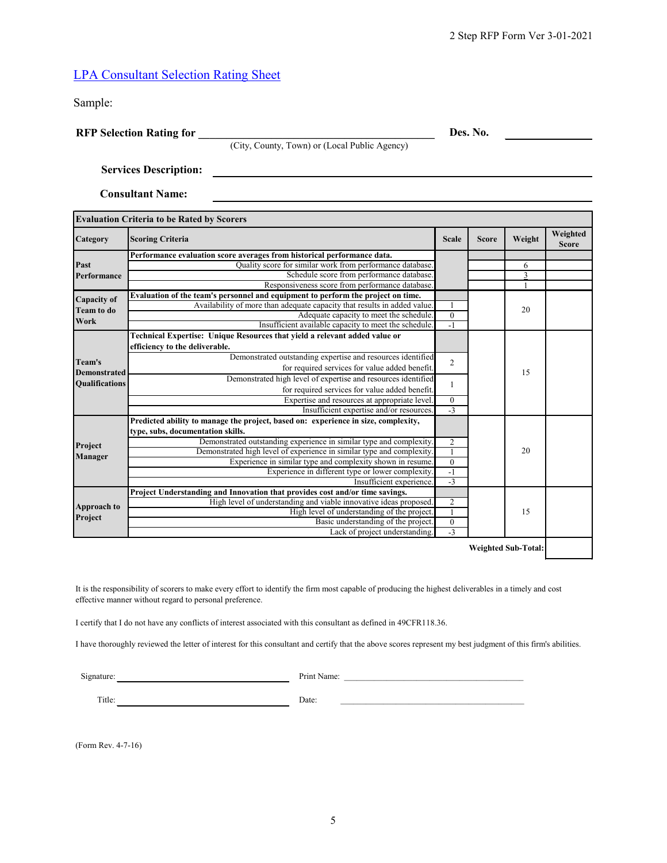# LPA [Consultant Selection Rating Sheet](http://www.in.gov/dot/div/legal/rfp/LPARFP/LPASelectionRatingSheetForm.xlsx)

Sample:

**RFP Selection Rating for \_\_\_\_\_\_\_\_\_\_\_\_\_\_\_\_\_\_\_\_\_\_\_\_\_\_\_\_\_\_\_\_\_\_\_\_\_\_\_\_\_\_\_**

**Des. No.** 

**Services Description:** 

**Consultant Name:**

| <b>Evaluation Criteria to be Rated by Scorers</b> |                                                                                    |                  |              |        |                          |
|---------------------------------------------------|------------------------------------------------------------------------------------|------------------|--------------|--------|--------------------------|
| Category                                          | <b>Scoring Criteria</b>                                                            | <b>Scale</b>     | <b>Score</b> | Weight | Weighted<br><b>Score</b> |
|                                                   | Performance evaluation score averages from historical performance data.            |                  |              |        |                          |
| Past                                              | Quality score for similar work from performance database.                          |                  |              | 6      |                          |
| Performance                                       | Schedule score from performance database.                                          |                  |              | 3      |                          |
|                                                   | Responsiveness score from performance database.                                    |                  |              |        |                          |
| Capacity of<br><b>Team to do</b>                  | Evaluation of the team's personnel and equipment to perform the project on time.   |                  |              |        |                          |
|                                                   | Availability of more than adequate capacity that results in added value.           | $\mathbf{1}$     |              | 20     |                          |
| Work                                              | Adequate capacity to meet the schedule.                                            | $\overline{0}$   |              |        |                          |
|                                                   | Insufficient available capacity to meet the schedule.                              | $-1$             |              |        |                          |
|                                                   | Technical Expertise: Unique Resources that yield a relevant added value or         |                  |              |        |                          |
|                                                   | efficiency to the deliverable.                                                     |                  |              | 15     |                          |
| Team's                                            | Demonstrated outstanding expertise and resources identified                        | $\overline{2}$   |              |        |                          |
| <b>Demonstrated</b>                               | for required services for value added benefit.                                     |                  |              |        |                          |
| <b>Qualifications</b>                             | Demonstrated high level of expertise and resources identified                      |                  |              |        |                          |
|                                                   | for required services for value added benefit.                                     | $\mathbf{1}$     |              |        |                          |
|                                                   | Expertise and resources at appropriate level.                                      | $\boldsymbol{0}$ |              |        |                          |
|                                                   | Insufficient expertise and/or resources.                                           | $\overline{-3}$  |              |        |                          |
|                                                   | Predicted ability to manage the project, based on: experience in size, complexity, |                  |              |        |                          |
|                                                   | type, subs, documentation skills.                                                  |                  |              |        |                          |
| Project<br>Manager                                | Demonstrated outstanding experience in similar type and complexity.                | $\overline{2}$   |              |        |                          |
|                                                   | Demonstrated high level of experience in similar type and complexity.              | $\mathbf{1}$     |              | 20     |                          |
|                                                   | Experience in similar type and complexity shown in resume.                         | $\overline{0}$   |              |        |                          |
|                                                   | Experience in different type or lower complexity.                                  | $\overline{-1}$  |              |        |                          |
|                                                   | Insufficient experience.                                                           |                  | $-3$         |        |                          |
| Approach to<br>Project                            | Project Understanding and Innovation that provides cost and/or time savings.       |                  |              |        |                          |
|                                                   | High level of understanding and viable innovative ideas proposed.                  |                  |              |        |                          |
|                                                   | High level of understanding of the project.                                        | $\overline{1}$   | 15           |        |                          |
|                                                   | Basic understanding of the project.                                                | $\mathbf{0}$     |              |        |                          |
|                                                   | Lack of project understanding.                                                     | $-3$             |              |        |                          |

(City, County, Town) or (Local Public Agency)

**Weighted Sub-Total:**

It is the responsibility of scorers to make every effort to identify the firm most capable of producing the highest deliverables in a timely and cost effective manner without regard to personal preference.

I certify that I do not have any conflicts of interest associated with this consultant as defined in 49CFR118.36.

I have thoroughly reviewed the letter of interest for this consultant and certify that the above scores represent my best judgment of this firm's abilities.

Signature: Print Name: \_\_\_\_\_\_\_\_\_\_\_\_\_\_\_\_\_\_\_\_\_\_\_\_\_\_\_\_\_\_\_\_\_\_\_\_\_\_\_\_\_\_

Title: Date:

(Form Rev. 4-7-16)